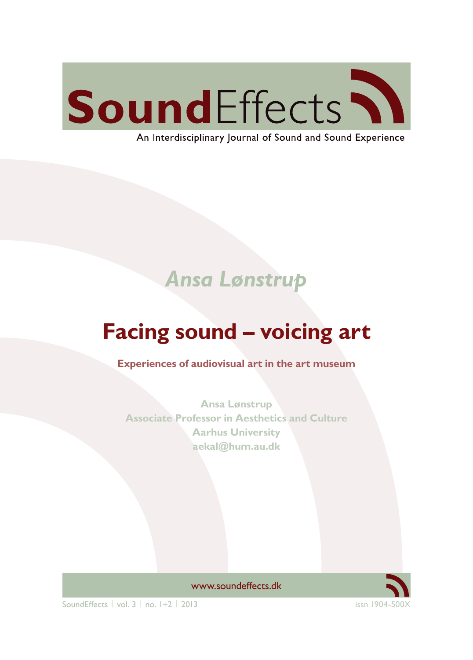

An Interdisciplinary Journal of Sound and Sound Experience

## *Ansa Lønstrup*

# **Facing sound – voicing art**

**Experiences of audiovisual art in the art museum**

**Ansa Lønstrup Associate Professor in Aesthetics and Culture Aarhus University aekal@hum.au.dk**



[www.soundeffects.dk](http://www.soundeffects.dk)

 $SoundEftects \mid vol. 3 \mid no. 1+2 \mid 2013$  issn 1904-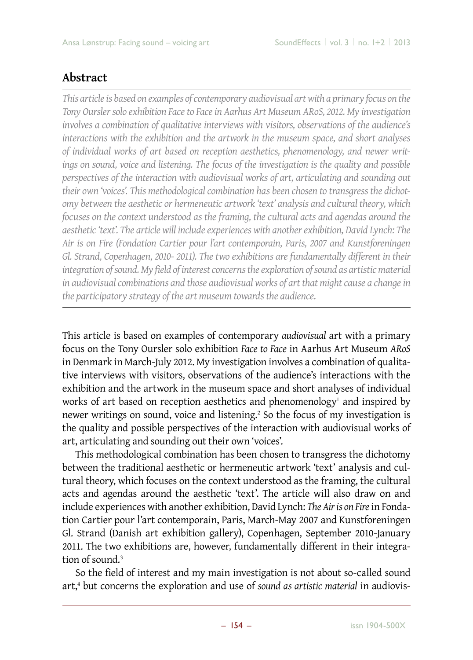### **Abstract**

*This article is based on examples of contemporary audiovisual art with a primary focus on the Tony Oursler solo exhibition Face to Face in Aarhus Art Museum ARoS, 2012. My investigation involves a combination of qualitative interviews with visitors, observations of the audience's interactions with the exhibition and the artwork in the museum space, and short analyses of individual works of art based on reception aesthetics, phenomenology, and newer writings on sound, voice and listening. The focus of the investigation is the quality and possible perspectives of the interaction with audiovisual works of art, articulating and sounding out their own 'voices'. This methodological combination has been chosen to transgress the dichotomy between the aesthetic or hermeneutic artwork 'text' analysis and cultural theory, which focuses on the context understood as the framing, the cultural acts and agendas around the aesthetic 'text'. The article will include experiences with another exhibition, David Lynch: The Air is on Fire (Fondation Cartier pour l'art contemporain, Paris, 2007 and Kunstforeningen Gl. Strand, Copenhagen, 2010- 2011). The two exhibitions are fundamentally different in their integration of sound. My field of interest concerns the exploration of sound as artistic material in audiovisual combinations and those audiovisual works of art that might cause a change in the participatory strategy of the art museum towards the audience.*

This article is based on examples of contemporary *audiovisual* art with a primary focus on the Tony Oursler solo exhibition *Face to Face* in Aarhus Art Museum *ARoS* in Denmark in March-July 2012. My investigation involves a combination of qualitative interviews with visitors, observations of the audience's interactions with the exhibition and the artwork in the museum space and short analyses of individual works of art based on reception aesthetics and phenomenology $^{\rm 1}$  and inspired by newer writings on sound, voice and listening.<sup>2</sup> So the focus of my investigation is the quality and possible perspectives of the interaction with audiovisual works of art, articulating and sounding out their own 'voices'.

This methodological combination has been chosen to transgress the dichotomy between the traditional aesthetic or hermeneutic artwork 'text' analysis and cultural theory, which focuses on the context understood as the framing, the cultural acts and agendas around the aesthetic 'text'. The article will also draw on and include experiences with another exhibition, David Lynch: *The Air is on Fire* in Fondation Cartier pour l'art contemporain, Paris, March-May 2007 and Kunstforeningen Gl. Strand (Danish art exhibition gallery), Copenhagen, September 2010-January 2011. The two exhibitions are, however, fundamentally different in their integration of sound.<sup>3</sup>

So the field of interest and my main investigation is not about so-called sound art,<sup>4</sup> but concerns the exploration and use of *sound as artistic material* in audiovis-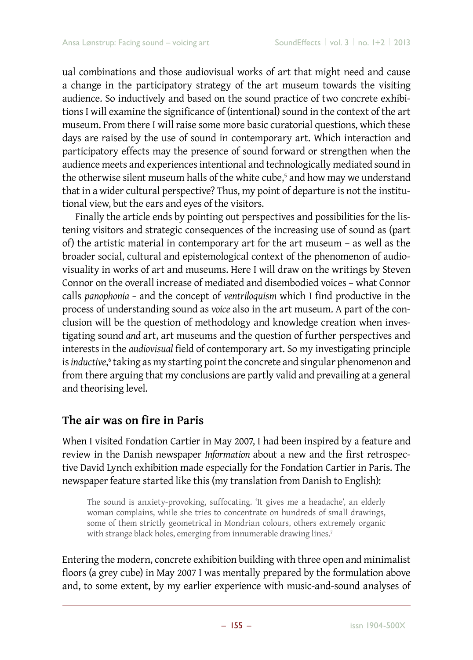ual combinations and those audiovisual works of art that might need and cause a change in the participatory strategy of the art museum towards the visiting audience. So inductively and based on the sound practice of two concrete exhibitions I will examine the significance of (intentional) sound in the context of the art museum. From there I will raise some more basic curatorial questions, which these days are raised by the use of sound in contemporary art. Which interaction and participatory effects may the presence of sound forward or strengthen when the audience meets and experiences intentional and technologically mediated sound in the otherwise silent museum halls of the white cube,<sup>5</sup> and how may we understand that in a wider cultural perspective? Thus, my point of departure is not the institutional view, but the ears and eyes of the visitors.

Finally the article ends by pointing out perspectives and possibilities for the listening visitors and strategic consequences of the increasing use of sound as (part of) the artistic material in contemporary art for the art museum – as well as the broader social, cultural and epistemological context of the phenomenon of audiovisuality in works of art and museums. Here I will draw on the writings by Steven Connor on the overall increase of mediated and disembodied voices – what Connor calls *panophonia –* and the concept of *ventriloquism* which I find productive in the process of understanding sound as *voice* also in the art museum. A part of the conclusion will be the question of methodology and knowledge creation when investigating sound *and* art, art museums and the question of further perspectives and interests in the *audiovisual* field of contemporary art. So my investigating principle is *inductive,*6 taking as my starting point the concrete and singular phenomenon and from there arguing that my conclusions are partly valid and prevailing at a general and theorising level.

### **The air was on fire in Paris**

When I visited Fondation Cartier in May 2007, I had been inspired by a feature and review in the Danish newspaper *Information* about a new and the first retrospective David Lynch exhibition made especially for the Fondation Cartier in Paris. The newspaper feature started like this (my translation from Danish to English):

The sound is anxiety-provoking, suffocating. 'It gives me a headache', an elderly woman complains, while she tries to concentrate on hundreds of small drawings, some of them strictly geometrical in Mondrian colours, others extremely organic with strange black holes, emerging from innumerable drawing lines.<sup>7</sup>

Entering the modern, concrete exhibition building with three open and minimalist floors (a grey cube) in May 2007 I was mentally prepared by the formulation above and, to some extent, by my earlier experience with music-and-sound analyses of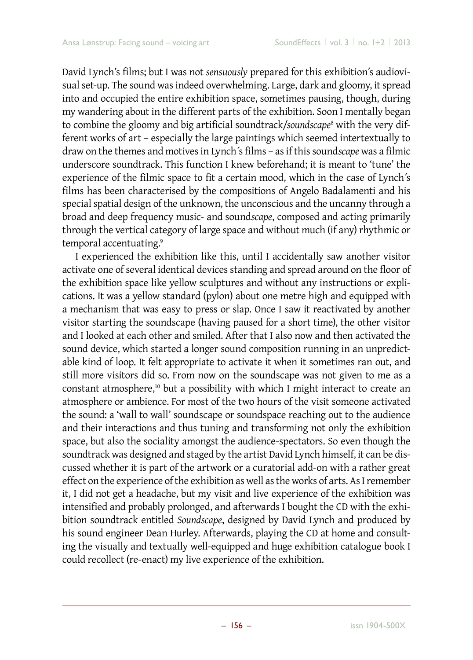David Lynch's films; but I was not *sensuously* prepared for this exhibition´s audiovisual set-up. The sound was indeed overwhelming. Large, dark and gloomy, it spread into and occupied the entire exhibition space, sometimes pausing, though, during my wandering about in the different parts of the exhibition. Soon I mentally began to combine the gloomy and big artificial soundtrack/*soundscape*<sup>8</sup> with the very different works of art – especially the large paintings which seemed intertextually to draw on the themes and motives in Lynch´s films – as if this sound*scape* was a filmic underscore soundtrack. This function I knew beforehand; it is meant to 'tune' the experience of the filmic space to fit a certain mood, which in the case of Lynch´s films has been characterised by the compositions of Angelo Badalamenti and his special spatial design of the unknown, the unconscious and the uncanny through a broad and deep frequency music- and sound*scape*, composed and acting primarily through the vertical category of large space and without much (if any) rhythmic or temporal accentuating.<sup>9</sup>

I experienced the exhibition like this, until I accidentally saw another visitor activate one of several identical devices standing and spread around on the floor of the exhibition space like yellow sculptures and without any instructions or explications. It was a yellow standard (pylon) about one metre high and equipped with a mechanism that was easy to press or slap. Once I saw it reactivated by another visitor starting the soundscape (having paused for a short time), the other visitor and I looked at each other and smiled. After that I also now and then activated the sound device, which started a longer sound composition running in an unpredictable kind of loop. It felt appropriate to activate it when it sometimes ran out, and still more visitors did so. From now on the soundscape was not given to me as a constant atmosphere,<sup>10</sup> but a possibility with which I might interact to create an atmosphere or ambience. For most of the two hours of the visit someone activated the sound: a 'wall to wall' soundscape or soundspace reaching out to the audience and their interactions and thus tuning and transforming not only the exhibition space, but also the sociality amongst the audience-spectators. So even though the soundtrack was designed and staged by the artist David Lynch himself, it can be discussed whether it is part of the artwork or a curatorial add-on with a rather great effect on the experience of the exhibition as well as the works of arts. As I remember it, I did not get a headache, but my visit and live experience of the exhibition was intensified and probably prolonged, and afterwards I bought the CD with the exhibition soundtrack entitled *Soundscape*, designed by David Lynch and produced by his sound engineer Dean Hurley. Afterwards, playing the CD at home and consulting the visually and textually well-equipped and huge exhibition catalogue book I could recollect (re-enact) my live experience of the exhibition.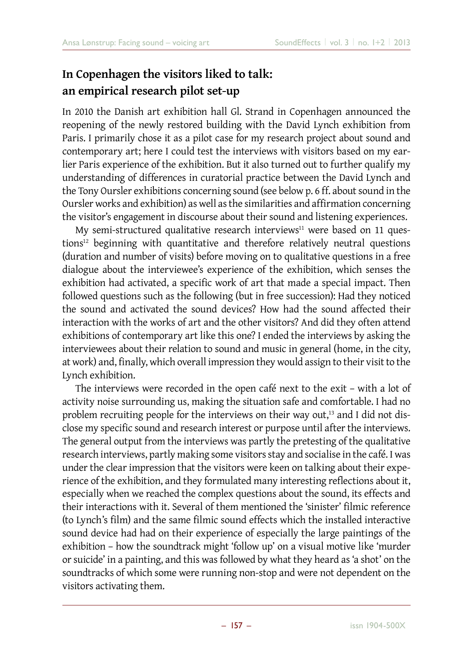## **In Copenhagen the visitors liked to talk: an empirical research pilot set-up**

In 2010 the Danish art exhibition hall Gl. Strand in Copenhagen announced the reopening of the newly restored building with the David Lynch exhibition from Paris. I primarily chose it as a pilot case for my research project about sound and contemporary art; here I could test the interviews with visitors based on my earlier Paris experience of the exhibition. But it also turned out to further qualify my understanding of differences in curatorial practice between the David Lynch and the Tony Oursler exhibitions concerning sound (see below p. 6 ff. about sound in the Oursler works and exhibition) as well as the similarities and affirmation concerning the visitor's engagement in discourse about their sound and listening experiences.

My semi-structured qualitative research interviews $11$  were based on 11 questions<sup>12</sup> beginning with quantitative and therefore relatively neutral questions (duration and number of visits) before moving on to qualitative questions in a free dialogue about the interviewee's experience of the exhibition, which senses the exhibition had activated, a specific work of art that made a special impact. Then followed questions such as the following (but in free succession): Had they noticed the sound and activated the sound devices? How had the sound affected their interaction with the works of art and the other visitors? And did they often attend exhibitions of contemporary art like this one? I ended the interviews by asking the interviewees about their relation to sound and music in general (home, in the city, at work) and, finally, which overall impression they would assign to their visit to the Lynch exhibition.

The interviews were recorded in the open café next to the exit – with a lot of activity noise surrounding us, making the situation safe and comfortable. I had no problem recruiting people for the interviews on their way out,<sup>13</sup> and I did not disclose my specific sound and research interest or purpose until after the interviews. The general output from the interviews was partly the pretesting of the qualitative research interviews, partly making some visitors stay and socialise in the café. I was under the clear impression that the visitors were keen on talking about their experience of the exhibition, and they formulated many interesting reflections about it, especially when we reached the complex questions about the sound, its effects and their interactions with it. Several of them mentioned the 'sinister' filmic reference (to Lynch's film) and the same filmic sound effects which the installed interactive sound device had had on their experience of especially the large paintings of the exhibition – how the soundtrack might 'follow up' on a visual motive like 'murder or suicide' in a painting, and this was followed by what they heard as 'a shot' on the soundtracks of which some were running non-stop and were not dependent on the visitors activating them.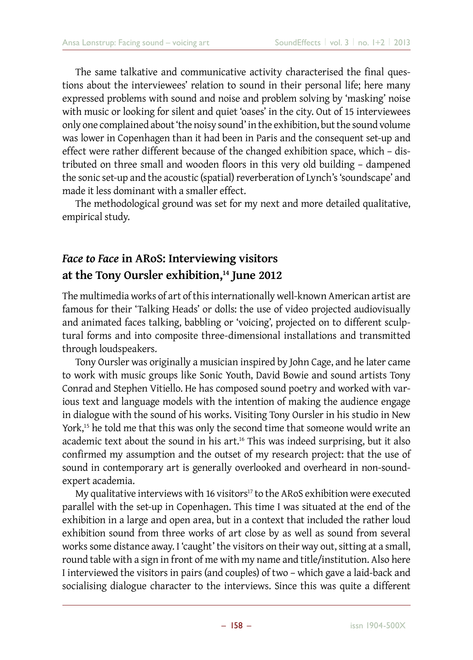The same talkative and communicative activity characterised the final questions about the interviewees' relation to sound in their personal life; here many expressed problems with sound and noise and problem solving by 'masking' noise with music or looking for silent and quiet 'oases' in the city. Out of 15 interviewees only one complained about 'the noisy sound' in the exhibition, but the sound volume was lower in Copenhagen than it had been in Paris and the consequent set-up and effect were rather different because of the changed exhibition space, which – distributed on three small and wooden floors in this very old building – dampened the sonic set-up and the acoustic (spatial) reverberation of Lynch's 'soundscape' and made it less dominant with a smaller effect.

The methodological ground was set for my next and more detailed qualitative, empirical study.

## *Face to Face* **in ARoS: Interviewing visitors at the Tony Oursler exhibition,14 June 2012**

The multimedia works of art of this internationally well-known American artist are famous for their 'Talking Heads' or dolls: the use of video projected audiovisually and animated faces talking, babbling or 'voicing', projected on to different sculptural forms and into composite three-dimensional installations and transmitted through loudspeakers.

Tony Oursler was originally a musician inspired by John Cage, and he later came to work with music groups like Sonic Youth, David Bowie and sound artists Tony Conrad and Stephen Vitiello. He has composed sound poetry and worked with various text and language models with the intention of making the audience engage in dialogue with the sound of his works. Visiting Tony Oursler in his studio in New York,<sup>15</sup> he told me that this was only the second time that someone would write an academic text about the sound in his art.<sup>16</sup> This was indeed surprising, but it also confirmed my assumption and the outset of my research project: that the use of sound in contemporary art is generally overlooked and overheard in non-soundexpert academia.

My qualitative interviews with 16 visitors $17$  to the ARoS exhibition were executed parallel with the set-up in Copenhagen. This time I was situated at the end of the exhibition in a large and open area, but in a context that included the rather loud exhibition sound from three works of art close by as well as sound from several works some distance away. I 'caught' the visitors on their way out, sitting at a small, round table with a sign in front of me with my name and title/institution. Also here I interviewed the visitors in pairs (and couples) of two – which gave a laid-back and socialising dialogue character to the interviews. Since this was quite a different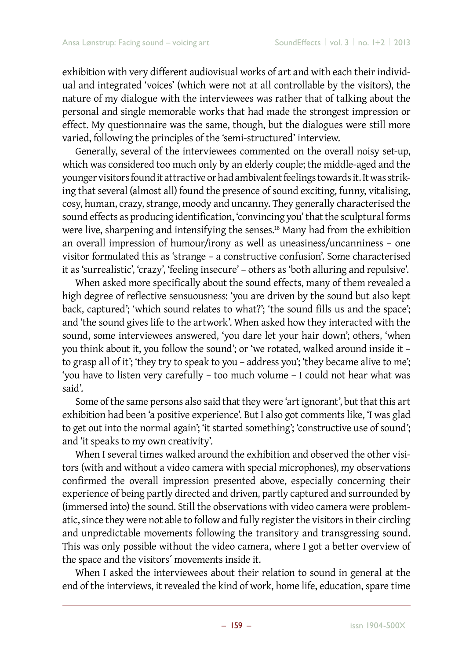exhibition with very different audiovisual works of art and with each their individual and integrated 'voices' (which were not at all controllable by the visitors), the nature of my dialogue with the interviewees was rather that of talking about the personal and single memorable works that had made the strongest impression or effect. My questionnaire was the same, though, but the dialogues were still more varied, following the principles of the 'semi-structured' interview.

Generally, several of the interviewees commented on the overall noisy set-up, which was considered too much only by an elderly couple; the middle-aged and the younger visitors found it attractive or had ambivalent feelings towards it. It was striking that several (almost all) found the presence of sound exciting, funny, vitalising, cosy, human, crazy, strange, moody and uncanny. They generally characterised the sound effects as producing identification, 'convincing you' that the sculptural forms were live, sharpening and intensifying the senses.<sup>18</sup> Many had from the exhibition an overall impression of humour/irony as well as uneasiness/uncanniness – one visitor formulated this as 'strange – a constructive confusion'. Some characterised it as 'surrealistic', 'crazy', 'feeling insecure' – others as 'both alluring and repulsive'.

When asked more specifically about the sound effects, many of them revealed a high degree of reflective sensuousness: 'you are driven by the sound but also kept back, captured'; 'which sound relates to what?'; 'the sound fills us and the space'; and 'the sound gives life to the artwork'. When asked how they interacted with the sound, some interviewees answered, 'you dare let your hair down'; others, 'when you think about it, you follow the sound'; or 'we rotated, walked around inside it – to grasp all of it'; 'they try to speak to you – address you'; 'they became alive to me'; 'you have to listen very carefully – too much volume – I could not hear what was said'.

Some of the same persons also said that they were 'art ignorant', but that this art exhibition had been 'a positive experience'. But I also got comments like, 'I was glad to get out into the normal again'; 'it started something'; 'constructive use of sound'; and 'it speaks to my own creativity'.

When I several times walked around the exhibition and observed the other visitors (with and without a video camera with special microphones), my observations confirmed the overall impression presented above, especially concerning their experience of being partly directed and driven, partly captured and surrounded by (immersed into) the sound. Still the observations with video camera were problematic, since they were not able to follow and fully register the visitors in their circling and unpredictable movements following the transitory and transgressing sound. This was only possible without the video camera, where I got a better overview of the space and the visitors´ movements inside it.

When I asked the interviewees about their relation to sound in general at the end of the interviews, it revealed the kind of work, home life, education, spare time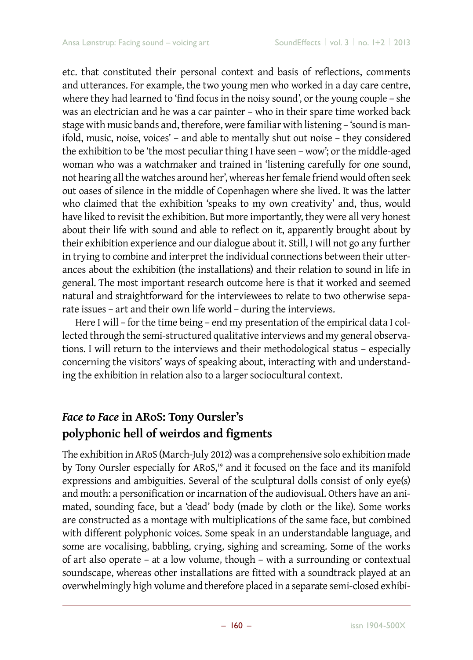etc. that constituted their personal context and basis of reflections, comments and utterances. For example, the two young men who worked in a day care centre, where they had learned to 'find focus in the noisy sound', or the young couple – she was an electrician and he was a car painter – who in their spare time worked back stage with music bands and, therefore, were familiar with listening – 'sound is manifold, music, noise, voices' – and able to mentally shut out noise – they considered the exhibition to be 'the most peculiar thing I have seen – wow'; or the middle-aged woman who was a watchmaker and trained in 'listening carefully for one sound, not hearing all the watches around her', whereas her female friend would often seek out oases of silence in the middle of Copenhagen where she lived. It was the latter who claimed that the exhibition 'speaks to my own creativity' and, thus, would have liked to revisit the exhibition. But more importantly, they were all very honest about their life with sound and able to reflect on it, apparently brought about by their exhibition experience and our dialogue about it. Still, I will not go any further in trying to combine and interpret the individual connections between their utterances about the exhibition (the installations) and their relation to sound in life in general. The most important research outcome here is that it worked and seemed natural and straightforward for the interviewees to relate to two otherwise separate issues – art and their own life world – during the interviews.

Here I will – for the time being – end my presentation of the empirical data I collected through the semi-structured qualitative interviews and my general observations. I will return to the interviews and their methodological status – especially concerning the visitors' ways of speaking about, interacting with and understanding the exhibition in relation also to a larger sociocultural context.

## *Face to Face* **in ARoS: Tony Oursler's polyphonic hell of weirdos and figments**

The exhibition in ARoS (March-July 2012) was a comprehensive solo exhibition made by Tony Oursler especially for ARoS,<sup>19</sup> and it focused on the face and its manifold expressions and ambiguities. Several of the sculptural dolls consist of only eye(s) and mouth: a personification or incarnation of the audiovisual. Others have an animated, sounding face, but a 'dead' body (made by cloth or the like). Some works are constructed as a montage with multiplications of the same face, but combined with different polyphonic voices. Some speak in an understandable language, and some are vocalising, babbling, crying, sighing and screaming. Some of the works of art also operate – at a low volume, though – with a surrounding or contextual soundscape, whereas other installations are fitted with a soundtrack played at an overwhelmingly high volume and therefore placed in a separate semi-closed exhibi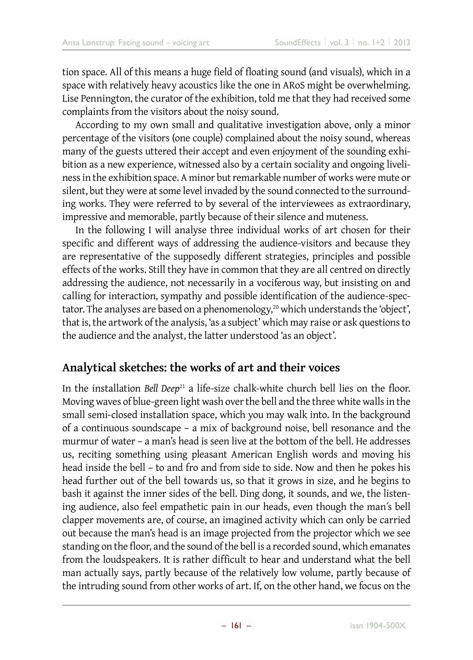tion space. All of this means a huge field of floating sound (and visuals), which in a space with relatively heavy acoustics like the one in ARoS might be overwhelming. Lise Pennington, the curator of the exhibition, told me that they had received some complaints from the visitors about the noisy sound.

According to my own small and qualitative investigation above, only a minor percentage of the visitors (one couple) complained about the noisy sound, whereas many of the guests uttered their accept and even enjoyment of the sounding exhibition as a new experience, witnessed also by a certain sociality and ongoing liveliness in the exhibition space. A minor but remarkable number of works were mute or silent, but they were at some level invaded by the sound connected to the surrounding works. They were referred to by several of the interviewees as extraordinary, impressive and memorable, partly because of their silence and muteness.

In the following I will analyse three individual works of art chosen for their specific and different ways of addressing the audience-visitors and because they are representative of the supposedly different strategies, principles and possible effects of the works. Still they have in common that they are all centred on directly addressing the audience, not necessarily in a vociferous way, but insisting on and calling for interaction, sympathy and possible identification of the audience-spectator. The analyses are based on a phenomenology,<sup>20</sup> which understands the 'object', that is, the artwork of the analysis, 'as a subject' which may raise or ask questions to the audience and the analyst, the latter understood 'as an object'.

### **Analytical sketches: the works of art and their voices**

In the installation *Bell Deep*<sup>21</sup> a life-size chalk-white church bell lies on the floor. Moving waves of blue-green light wash over the bell and the three white walls in the small semi-closed installation space, which you may walk into. In the background of a continuous soundscape – a mix of background noise, bell resonance and the murmur of water – a man's head is seen live at the bottom of the bell. He addresses us, reciting something using pleasant American English words and moving his head inside the bell – to and fro and from side to side. Now and then he pokes his head further out of the bell towards us, so that it grows in size, and he begins to bash it against the inner sides of the bell. Ding dong, it sounds, and we, the listening audience, also feel empathetic pain in our heads, even though the man´s bell clapper movements are, of course, an imagined activity which can only be carried out because the man's head is an image projected from the projector which we see standing on the floor, and the sound of the bell is a recorded sound, which emanates from the loudspeakers. It is rather difficult to hear and understand what the bell man actually says, partly because of the relatively low volume, partly because of the intruding sound from other works of art. If, on the other hand, we focus on the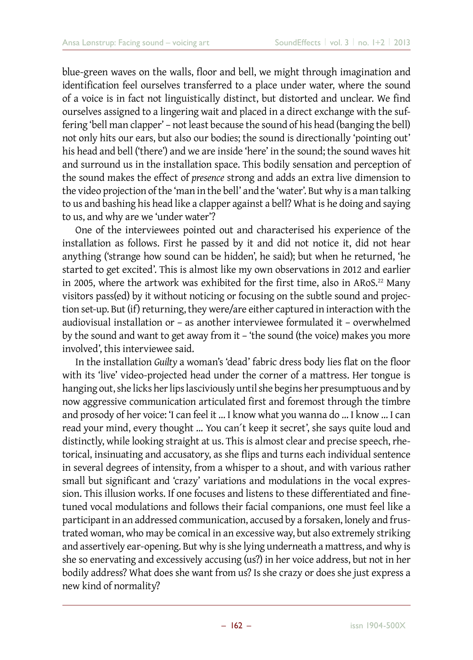blue-green waves on the walls, floor and bell, we might through imagination and identification feel ourselves transferred to a place under water, where the sound of a voice is in fact not linguistically distinct, but distorted and unclear. We find ourselves assigned to a lingering wait and placed in a direct exchange with the suffering 'bell man clapper' – not least because the sound of his head (banging the bell) not only hits our ears, but also our bodies; the sound is directionally 'pointing out' his head and bell ('there') and we are inside 'here' in the sound; the sound waves hit and surround us in the installation space. This bodily sensation and perception of the sound makes the effect of *presence* strong and adds an extra live dimension to the video projection of the 'man in the bell' and the 'water'. But why is a man talking to us and bashing his head like a clapper against a bell? What is he doing and saying to us, and why are we 'under water'?

One of the interviewees pointed out and characterised his experience of the installation as follows. First he passed by it and did not notice it, did not hear anything ('strange how sound can be hidden', he said); but when he returned, 'he started to get excited'. This is almost like my own observations in 2012 and earlier in 2005, where the artwork was exhibited for the first time, also in ARoS.<sup>22</sup> Many visitors pass(ed) by it without noticing or focusing on the subtle sound and projection set-up. But (if) returning, they were/are either captured in interaction with the audiovisual installation or – as another interviewee formulated it – overwhelmed by the sound and want to get away from it – 'the sound (the voice) makes you more involved', this interviewee said.

In the installation *Guilty* a woman's 'dead' fabric dress body lies flat on the floor with its 'live' video-projected head under the corner of a mattress. Her tongue is hanging out, she licks her lips lasciviously until she begins her presumptuous and by now aggressive communication articulated first and foremost through the timbre and prosody of her voice: 'I can feel it … I know what you wanna do … I know … I can read your mind, every thought … You can´t keep it secret', she says quite loud and distinctly, while looking straight at us. This is almost clear and precise speech, rhetorical, insinuating and accusatory, as she flips and turns each individual sentence in several degrees of intensity, from a whisper to a shout, and with various rather small but significant and 'crazy' variations and modulations in the vocal expression. This illusion works. If one focuses and listens to these differentiated and finetuned vocal modulations and follows their facial companions, one must feel like a participant in an addressed communication, accused by a forsaken, lonely and frustrated woman, who may be comical in an excessive way, but also extremely striking and assertively ear-opening. But why is she lying underneath a mattress, and why is she so enervating and excessively accusing (us?) in her voice address, but not in her bodily address? What does she want from us? Is she crazy or does she just express a new kind of normality?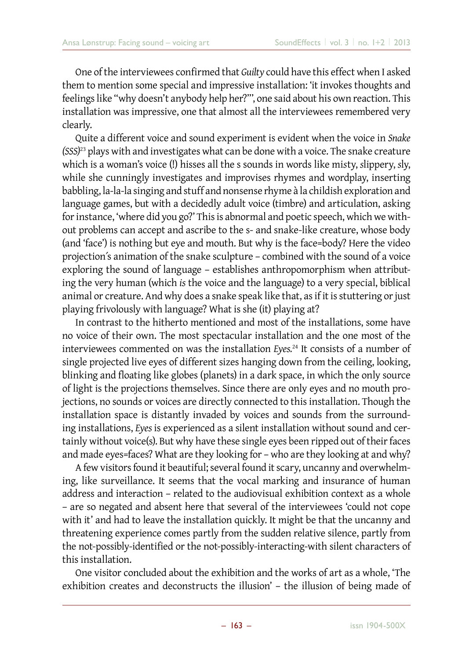One of the interviewees confirmed that *Guilty* could have this effect when I asked them to mention some special and impressive installation: 'it invokes thoughts and feelings like "why doesn't anybody help her?"', one said about his own reaction. This installation was impressive, one that almost all the interviewees remembered very clearly.

Quite a different voice and sound experiment is evident when the voice in *Snake (SSS)*23 plays with and investigates what can be done with a voice. The snake creature which is a woman's voice (!) hisses all the s sounds in words like mi*s*ty, *s*lippery, *s*ly, while she cunningly investigates and improvises rhymes and wordplay, inserting babbling, la-la-la singing and stuff and nonsense rhyme à la childish exploration and language games, but with a decidedly adult voice (timbre) and articulation, asking for instance, 'where did you go?' This is abnormal and poetic speech, which we without problems can accept and ascribe to the s- and snake-like creature, whose body (and 'face') is nothing but eye and mouth. But why is the face=body? Here the video projection´s animation of the snake sculpture – combined with the sound of a voice exploring the sound of language – establishes anthropomorphism when attributing the very human (which *is* the voice and the language) to a very special, biblical animal or creature. And why does a snake speak like that, as if it is stuttering or just playing frivolously with language? What is she (it) playing at?

In contrast to the hitherto mentioned and most of the installations, some have no voice of their own. The most spectacular installation and the one most of the interviewees commented on was the installation *Eyes.*24 It consists of a number of single projected live eyes of different sizes hanging down from the ceiling, looking, blinking and floating like globes (planets) in a dark space, in which the only source of light is the projections themselves. Since there are only eyes and no mouth projections, no sounds or voices are directly connected to this installation. Though the installation space is distantly invaded by voices and sounds from the surrounding installations, *Eyes* is experienced as a silent installation without sound and certainly without voice(s). But why have these single eyes been ripped out of their faces and made eyes=faces? What are they looking for – who are they looking at and why?

A few visitors found it beautiful; several found it scary, uncanny and overwhelming, like surveillance. It seems that the vocal marking and insurance of human address and interaction – related to the audiovisual exhibition context as a whole – are so negated and absent here that several of the interviewees 'could not cope with it' and had to leave the installation quickly. It might be that the uncanny and threatening experience comes partly from the sudden relative silence, partly from the not-possibly-identified or the not-possibly-interacting-with silent characters of this installation.

One visitor concluded about the exhibition and the works of art as a whole, 'The exhibition creates and deconstructs the illusion' – the illusion of being made of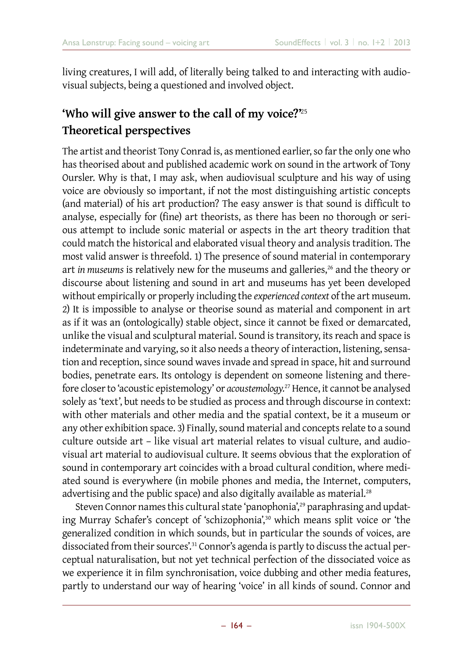living creatures, I will add, of literally being talked to and interacting with audiovisual subjects, being a questioned and involved object.

## **'Who will give answer to the call of my voice?'**<sup>25</sup> **Theoretical perspectives**

The artist and theorist Tony Conrad is, as mentioned earlier, so far the only one who has theorised about and published academic work on sound in the artwork of Tony Oursler. Why is that, I may ask, when audiovisual sculpture and his way of using voice are obviously so important, if not the most distinguishing artistic concepts (and material) of his art production? The easy answer is that sound is difficult to analyse, especially for (fine) art theorists, as there has been no thorough or serious attempt to include sonic material or aspects in the art theory tradition that could match the historical and elaborated visual theory and analysis tradition. The most valid answer is threefold. 1) The presence of sound material in contemporary art *in museums* is relatively new for the museums and galleries,<sup>26</sup> and the theory or discourse about listening and sound in art and museums has yet been developed without empirically or properly including the *experienced context* of the art museum. 2) It is impossible to analyse or theorise sound as material and component in art as if it was an (ontologically) stable object, since it cannot be fixed or demarcated, unlike the visual and sculptural material. Sound is transitory, its reach and space is indeterminate and varying, so it also needs a theory of interaction, listening, sensation and reception, since sound waves invade and spread in space, hit and surround bodies, penetrate ears. Its ontology is dependent on someone listening and therefore closer to 'acoustic epistemology' or *acoustemology.*27 Hence, it cannot be analysed solely as 'text', but needs to be studied as process and through discourse in context: with other materials and other media and the spatial context, be it a museum or any other exhibition space. 3) Finally, sound material and concepts relate to a sound culture outside art – like visual art material relates to visual culture, and audiovisual art material to audiovisual culture. It seems obvious that the exploration of sound in contemporary art coincides with a broad cultural condition, where mediated sound is everywhere (in mobile phones and media, the Internet, computers, advertising and the public space) and also digitally available as material.<sup>28</sup>

Steven Connor names this cultural state 'panophonia',<sup>29</sup> paraphrasing and updating Murray Schafer's concept of 'schizophonia',<sup>30</sup> which means split voice or 'the generalized condition in which sounds, but in particular the sounds of voices, are dissociated from their sources'.31 Connor's agenda is partly to discuss the actual perceptual naturalisation, but not yet technical perfection of the dissociated voice as we experience it in film synchronisation, voice dubbing and other media features, partly to understand our way of hearing 'voice' in all kinds of sound. Connor and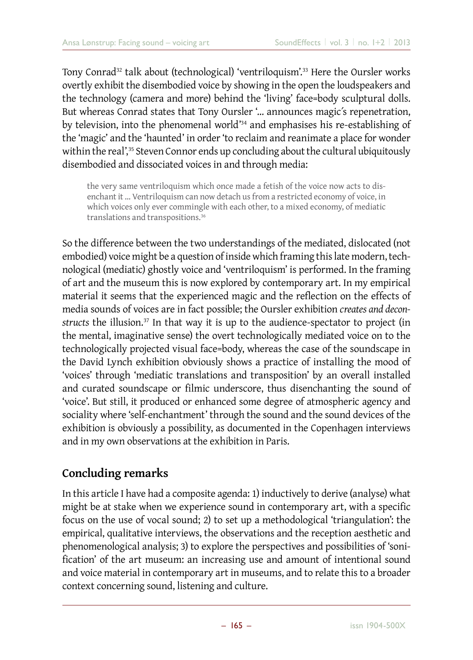Tony Conrad<sup>32</sup> talk about (technological) 'ventriloquism'.<sup>33</sup> Here the Oursler works overtly exhibit the disembodied voice by showing in the open the loudspeakers and the technology (camera and more) behind the 'living' face=body sculptural dolls. But whereas Conrad states that Tony Oursler '… announces magic´s repenetration, by television, into the phenomenal world'34 and emphasises his re-establishing of the 'magic' and the 'haunted' in order 'to reclaim and reanimate a place for wonder within the real',<sup>35</sup> Steven Connor ends up concluding about the cultural ubiquitously disembodied and dissociated voices in and through media:

the very same ventriloquism which once made a fetish of the voice now acts to disenchant it … Ventriloquism can now detach us from a restricted economy of voice, in which voices only ever commingle with each other, to a mixed economy, of mediatic translations and transpositions.<sup>36</sup>

So the difference between the two understandings of the mediated, dislocated (not embodied) voice might be a question of inside which framing this late modern, technological (mediatic) ghostly voice and 'ventriloquism' is performed. In the framing of art and the museum this is now explored by contemporary art. In my empirical material it seems that the experienced magic and the reflection on the effects of media sounds of voices are in fact possible; the Oursler exhibition *creates and deconstructs* the illusion.<sup>37</sup> In that way it is up to the audience-spectator to project (in the mental, imaginative sense) the overt technologically mediated voice on to the technologically projected visual face=body, whereas the case of the soundscape in the David Lynch exhibition obviously shows a practice of installing the mood of 'voices' through 'mediatic translations and transposition' by an overall installed and curated soundscape or filmic underscore, thus disenchanting the sound of 'voice'. But still, it produced or enhanced some degree of atmospheric agency and sociality where 'self-enchantment' through the sound and the sound devices of the exhibition is obviously a possibility, as documented in the Copenhagen interviews and in my own observations at the exhibition in Paris.

### **Concluding remarks**

In this article I have had a composite agenda: 1) inductively to derive (analyse) what might be at stake when we experience sound in contemporary art, with a specific focus on the use of vocal sound; 2) to set up a methodological 'triangulation': the empirical, qualitative interviews, the observations and the reception aesthetic and phenomenological analysis; 3) to explore the perspectives and possibilities of 'sonification' of the art museum: an increasing use and amount of intentional sound and voice material in contemporary art in museums, and to relate this to a broader context concerning sound, listening and culture.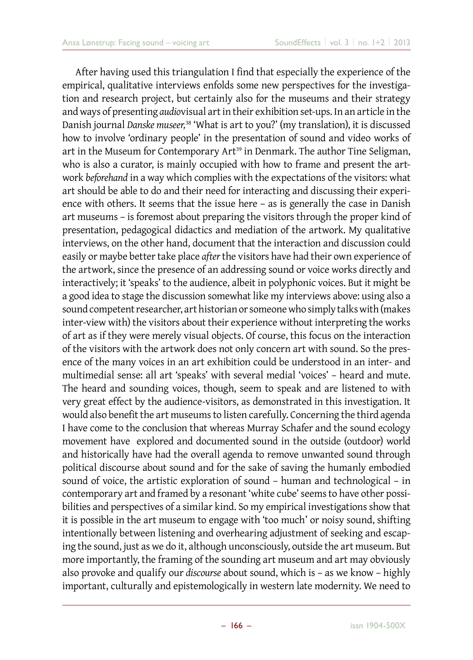After having used this triangulation I find that especially the experience of the empirical, qualitative interviews enfolds some new perspectives for the investigation and research project, but certainly also for the museums and their strategy and ways of presenting *audio*visual art in their exhibition set-ups. In an article in the Danish journal *Danske museer,*38 'What is art to you?' (my translation), it is discussed how to involve 'ordinary people' in the presentation of sound and video works of art in the Museum for Contemporary Art<sup>39</sup> in Denmark. The author Tine Seligman, who is also a curator, is mainly occupied with how to frame and present the artwork *beforehand* in a way which complies with the expectations of the visitors: what art should be able to do and their need for interacting and discussing their experience with others. It seems that the issue here – as is generally the case in Danish art museums – is foremost about preparing the visitors through the proper kind of presentation, pedagogical didactics and mediation of the artwork. My qualitative interviews, on the other hand, document that the interaction and discussion could easily or maybe better take place *after* the visitors have had their own experience of the artwork, since the presence of an addressing sound or voice works directly and interactively; it 'speaks' to the audience, albeit in polyphonic voices. But it might be a good idea to stage the discussion somewhat like my interviews above: using also a sound competent researcher, art historian or someone who simply talks with (makes inter-view with) the visitors about their experience without interpreting the works of art as if they were merely visual objects. Of course, this focus on the interaction of the visitors with the artwork does not only concern art with sound. So the presence of the many voices in an art exhibition could be understood in an inter- and multimedial sense: all art 'speaks' with several medial 'voices' – heard and mute. The heard and sounding voices, though, seem to speak and are listened to with very great effect by the audience-visitors, as demonstrated in this investigation. It would also benefit the art museums to listen carefully. Concerning the third agenda I have come to the conclusion that whereas Murray Schafer and the sound ecology movement have explored and documented sound in the outside (outdoor) world and historically have had the overall agenda to remove unwanted sound through political discourse about sound and for the sake of saving the humanly embodied sound of voice, the artistic exploration of sound – human and technological – in contemporary art and framed by a resonant 'white cube' seems to have other possibilities and perspectives of a similar kind. So my empirical investigations show that it is possible in the art museum to engage with 'too much' or noisy sound, shifting intentionally between listening and overhearing adjustment of seeking and escaping the sound, just as we do it, although unconsciously, outside the art museum. But more importantly, the framing of the sounding art museum and art may obviously also provoke and qualify our *discourse* about sound, which is – as we know – highly important, culturally and epistemologically in western late modernity. We need to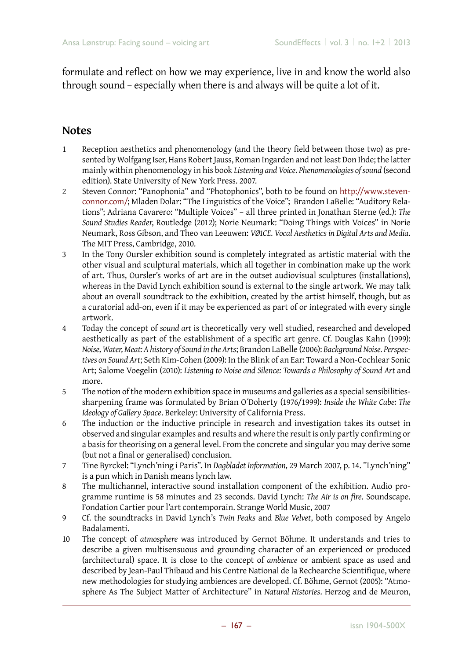formulate and reflect on how we may experience, live in and know the world also through sound – especially when there is and always will be quite a lot of it.

#### **Notes**

- 1 Reception aesthetics and phenomenology (and the theory field between those two) as presented by Wolfgang Iser, Hans Robert Jauss, Roman Ingarden and not least Don Ihde; the latter mainly within phenomenology in his book *Listening and Voice. Phenomenologies of sound* (second edition). State University of New York Press. 2007.
- 2 Steven Connor: "Panophonia" and "Photophonics", both to be found on [http://www.steven](http://www.stevenconnor.com/)[connor.com/](http://www.stevenconnor.com/); Mladen Dolar: "The Linguistics of the Voice"; Brandon LaBelle: "Auditory Relations"; Adriana Cavarero: "Multiple Voices" – all three printed in Jonathan Sterne (ed.): *The Sound Studies Reader*, Routledge (2012); Norie Neumark: "Doing Things with Voices" in Norie Neumark, Ross Gibson, and Theo van Leeuwen: *VØ1CE. Vocal Aesthetics in Digital Arts and Media*. The MIT Press, Cambridge, 2010.
- 3 In the Tony Oursler exhibition sound is completely integrated as artistic material with the other visual and sculptural materials, which all together in combination make up the work of art. Thus, Oursler's works of art are in the outset audiovisual sculptures (installations), whereas in the David Lynch exhibition sound is external to the single artwork. We may talk about an overall soundtrack to the exhibition, created by the artist himself, though, but as a curatorial add-on, even if it may be experienced as part of or integrated with every single artwork.
- 4 Today the concept of *sound art* is theoretically very well studied, researched and developed aesthetically as part of the establishment of a specific art genre. Cf. Douglas Kahn (1999): *Noise, Water, Meat: A history of Sound in the Arts*; Brandon LaBelle (2006): *Background Noise. Perspectives on Sound Art*; Seth Kim-Cohen (2009): In the Blink of an Ear: Toward a Non-Cochlear Sonic Art; Salome Voegelin (2010): Listening to Noise and Silence: Towards a Philosophy of Sound Art and more.
- 5 The notion of the modern exhibition space in museums and galleries as a special sensibilitiessharpening frame was formulated by Brian O´Doherty (1976/1999): *Inside the White Cube: The Ideology of Gallery Space*. Berkeley: University of California Press.
- 6 The induction or the inductive principle in research and investigation takes its outset in observed and singular examples and results and where the result is only partly confirming or a basis for theorising on a general level. From the concrete and singular you may derive some (but not a final or generalised) conclusion.
- 7 Tine Byrckel: "Lynch'ning i Paris". In *Dagbladet Information,* 29 March 2007, p. 14. "Lynch'ning" is a pun which in Danish means lynch law.
- 8 The multichannel, interactive sound installation component of the exhibition. Audio programme runtime is 58 minutes and 23 seconds. David Lynch: *The Air is on fire*. Soundscape. Fondation Cartier pour l'art contemporain. Strange World Music, 2007
- 9 Cf. the soundtracks in David Lynch's *Twin Peaks* and *Blue Velvet*, both composed by Angelo Badalamenti.
- 10 The concept of *atmosphere* was introduced by Gernot Böhme. It understands and tries to describe a given multisensuous and grounding character of an experienced or produced (architectural) space. It is close to the concept of *ambience* or ambient space as used and described by Jean-Paul Thibaud and his Centre National de la Rechearche Scientifique, where new methodologies for studying ambiences are developed. Cf. Böhme, Gernot (2005): "Atmosphere As The Subject Matter of Architecture" in *Natural Histories*. Herzog and de Meuron,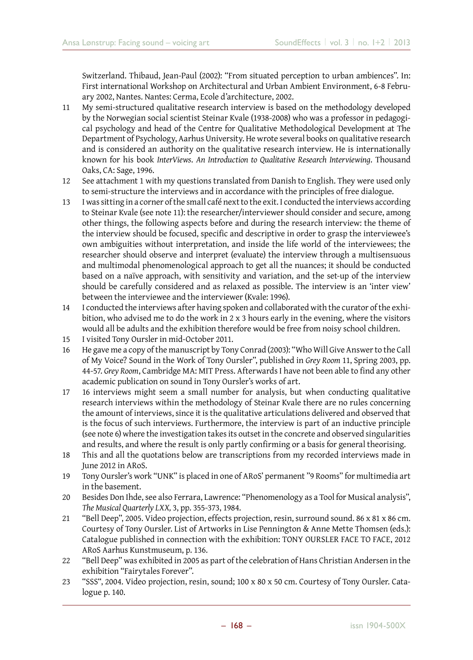Switzerland. Thibaud, Jean-Paul (2002): "From situated perception to urban ambiences". In: First international Workshop on Architectural and Urban Ambient Environment, 6-8 February 2002, Nantes. Nantes: Cerma, Ecole d'architecture, 2002.

- 11 My semi-structured qualitative research interview is based on the methodology developed by the Norwegian social scientist Steinar Kvale (1938-2008) who was a professor in pedagogical psychology and head of the Centre for Qualitative Methodological Development at The Department of Psychology, Aarhus University. He wrote several books on qualitative research and is considered an authority on the qualitative research interview. He is internationally known for his book *InterViews*. *An Introduction to Qualitative Research Interviewing*. Thousand Oaks, CA: Sage, 1996.
- 12 See attachment 1 with my questions translated from Danish to English. They were used only to semi-structure the interviews and in accordance with the principles of free dialogue.
- 13 I was sitting in a corner of the small café next to the exit. I conducted the interviews according to Steinar Kvale (see note 11): the researcher/interviewer should consider and secure, among other things, the following aspects before and during the research interview: the theme of the interview should be focused, specific and descriptive in order to grasp the interviewee's own ambiguities without interpretation, and inside the life world of the interviewees; the researcher should observe and interpret (evaluate) the interview through a multisensuous and multimodal phenomenological approach to get all the nuances; it should be conducted based on a naïve approach, with sensitivity and variation, and the set-up of the interview should be carefully considered and as relaxed as possible. The interview is an 'inter view' between the interviewee and the interviewer (Kvale: 1996).
- 14 I conducted the interviews after having spoken and collaborated with the curator of the exhibition, who advised me to do the work in 2 x 3 hours early in the evening, where the visitors would all be adults and the exhibition therefore would be free from noisy school children.
- 15 I visited Tony Oursler in mid-October 2011.
- 16 He gave me a copy of the manuscript by Tony Conrad (2003): "Who Will Give Answer to the Call of My Voice? Sound in the Work of Tony Oursler", published in *Grey Room* 11, Spring 2003, pp. 44-57. *Grey Room*, Cambridge MA: MIT Press. Afterwards I have not been able to find any other academic publication on sound in Tony Oursler's works of art.
- 17 16 interviews might seem a small number for analysis, but when conducting qualitative research interviews within the methodology of Steinar Kvale there are no rules concerning the amount of interviews, since it is the qualitative articulations delivered and observed that is the focus of such interviews. Furthermore, the interview is part of an inductive principle (see note 6) where the investigation takes its outset in the concrete and observed singularities and results, and where the result is only partly confirming or a basis for general theorising.
- 18 This and all the quotations below are transcriptions from my recorded interviews made in June 2012 in ARoS.
- 19 Tony Oursler's work "UNK" is placed in one of ARoS' permanent "9 Rooms" for multimedia art in the basement.
- 20 Besides Don Ihde, see also Ferrara, Lawrence: "Phenomenology as a Tool for Musical analysis", *The Musical Quarterly LXX,* 3, pp. 355-373, 1984.
- 21 "Bell Deep", 2005. Video projection, effects projection, resin, surround sound. 86 x 81 x 86 cm. Courtesy of Tony Oursler. List of Artworks in Lise Pennington & Anne Mette Thomsen (eds.): Catalogue published in connection with the exhibition: TONY OURSLER FACE TO FACE, 2012 ARoS Aarhus Kunstmuseum, p. 136.
- 22 "Bell Deep" was exhibited in 2005 as part of the celebration of Hans Christian Andersen in the exhibition "Fairytales Forever".
- 23 "SSS", 2004. Video projection, resin, sound; 100 x 80 x 50 cm. Courtesy of Tony Oursler. Catalogue p. 140.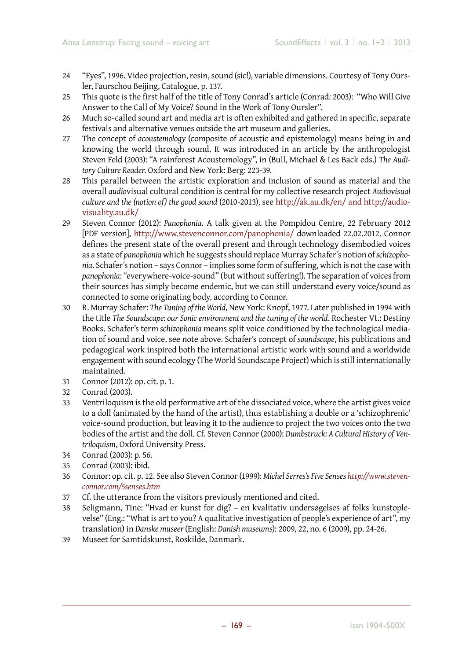- 24 "Eyes", 1996. Video projection, resin, sound (sic!), variable dimensions. Courtesy of Tony Oursler, Faurschou Beijing, Catalogue, p. 137.
- 25 This quote is the first half of the title of Tony Conrad's article (Conrad: 2003): "Who Will Give Answer to the Call of My Voice? Sound in the Work of Tony Oursler".
- 26 Much so-called sound art and media art is often exhibited and gathered in specific, separate festivals and alternative venues outside the art museum and galleries.
- 27 The concept of *acoustemology* (composite of acoustic and epistemology) means being in and knowing the world through sound. It was introduced in an article by the anthropologist Steven Feld (2003): "A rainforest Acoustemology", in (Bull, Michael & Les Back eds.) *The Auditory Culture Reader*. Oxford and New York: Berg: 223-39.
- 28 This parallel between the artistic exploration and inclusion of sound as material and the overall *audio*visual cultural condition is central for my collective research project *Audiovisual culture and the (notion of) the good sound* (2010-2013), see [http://ak.au.dk/en/ and http://audio](http://ak.au.dk/en/%20and%20http://audiovisuality.au.dk/)[visuality.au.dk/](http://ak.au.dk/en/%20and%20http://audiovisuality.au.dk/)
- 29 Steven Connor (2012): *Panophonia*. A talk given at the Pompidou Centre, 22 February 2012 [PDF version], <http://www.stevenconnor.com/panophonia/> downloaded 22.02.2012. Connor defines the present state of the overall present and through technology disembodied voices as a state of *panophonia* which he suggests should replace Murray Schafer´s notion of *schizophonia*. Schafer´s notion – says Connor – implies some form of suffering, which is not the case with *panophonia*: "everywhere-voice-sound" (but without suffering!). The separation of voices from their sources has simply become endemic, but we can still understand every voice/sound as connected to some originating body, according to Connor.
- 30 R. Murray Schafer: *The Tuning of the World,* New York: Knopf, 1977. Later published in 1994 with the title *The Soundscape: our Sonic environment and the tuning of the world*. Rochester Vt.: Destiny Books. Schafer's term *schizophonia* means split voice conditioned by the technological mediation of sound and voice, see note above. Schafer's concept of *soundscape*, his publications and pedagogical work inspired both the international artistic work with sound and a worldwide engagement with sound ecology (The World Soundscape Project) which is still internationally maintained.
- 31 Connor (2012): op. cit. p. 1.
- 32 Conrad (2003).
- 33 Ventriloquism is the old performative art of the dissociated voice, where the artist gives voice to a doll (animated by the hand of the artist), thus establishing a double or a 'schizophrenic' voice-sound production, but leaving it to the audience to project the two voices onto the two bodies of the artist and the doll. Cf. Steven Connor (2000): *Dumbstruck: A Cultural History of Ventriloquism*, Oxford University Press.
- 34 Conrad (2003): p. 56.
- 35 Conrad (2003): ibid.
- 36 Connor: op. cit. p. 12. See also Steven Connor (1999): *Michel Serres's Five Senses [http://www.steven](http://www.stevenconnor.com/5senses.htm)[connor.com/5senses.htm](http://www.stevenconnor.com/5senses.htm)*
- 37 Cf. the utterance from the visitors previously mentioned and cited.
- 38 Seligmann, Tine: "Hvad er kunst for dig? en kvalitativ undersøgelses af folks kunstoplevelse" (Eng.: "What is art to you? A qualitative investigation of people's experience of art", my translation) in *Danske museer* (English: *Danish museums*): 2009, 22, no. 6 (2009), pp. 24-26.
- 39 Museet for Samtidskunst, Roskilde, Danmark.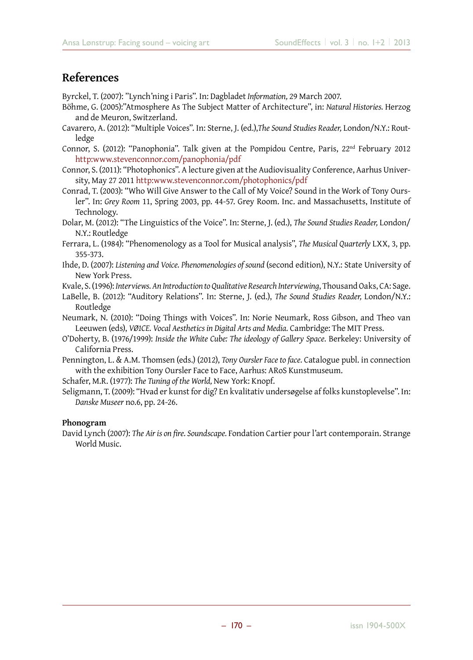#### **References**

Byrckel, T. (2007): "Lynch'ning i Paris". In: Dagbladet *Information,* 29 March 2007.

- Böhme, G. (2005):"Atmosphere As The Subject Matter of Architecture", in: *Natural Histories.* Herzog and de Meuron, Switzerland.
- Cavarero, A. (2012): "Multiple Voices". In: Sterne, J. (ed.),*The Sound Studies Reader,* London/N.Y.: Routledge
- Connor, S. (2012): "Panophonia". Talk given at the Pompidou Centre, Paris, 22nd February 2012 <http:www.stevenconnor.com/panophonia/pdf>
- Connor, S. (2011): "Photophonics". A lecture given at the Audiovisuality Conference, Aarhus University, May 27 2011 <http:www.stevenconnor.com/photophonics/pdf>
- Conrad, T. (2003): "Who Will Give Answer to the Call of My Voice? Sound in the Work of Tony Oursler". In: *Grey Room* 11, Spring 2003, pp. 44-57. Grey Room. Inc. and Massachusetts, Institute of Technology.
- Dolar, M. (2012): "The Linguistics of the Voice". In: Sterne, J. (ed.), *The Sound Studies Reader,* London/ N.Y.: Routledge
- Ferrara, L. (1984): "Phenomenology as a Tool for Musical analysis", *The Musical Quarterly* LXX, 3, pp. 355-373.
- Ihde, D. (2007): *Listening and Voice. Phenomenologies of sound* (second edition), N.Y.: State University of New York Press.
- Kvale, S. (1996): *Interviews. An Introduction to Qualitative Research Interviewing*, Thousand Oaks, CA: Sage.
- LaBelle, B. (2012): "Auditory Relations". In: Sterne, J. (ed.), *The Sound Studies Reader,* London/N.Y.: Routledge
- Neumark, N. (2010): "Doing Things with Voices". In: Norie Neumark, Ross Gibson, and Theo van Leeuwen (eds), *VØ1CE. Vocal Aesthetics in Digital Arts and Media.* Cambridge: The MIT Press.
- O'Doherty, B. (1976/1999): *Inside the White Cube: The ideology of Gallery Space.* Berkeley: University of California Press.
- Pennington, L. & A.M. Thomsen (eds.) (2012), *Tony Oursler Face to face.* Catalogue publ. in connection with the exhibition Tony Oursler Face to Face, Aarhus: ARoS Kunstmuseum.

Schafer, M.R. (1977): *The Tuning of the World,* New York: Knopf.

Seligmann, T. (2009): "Hvad er kunst for dig? En kvalitativ undersøgelse af folks kunstoplevelse". In: *Danske Museer* no.6, pp. 24-26.

#### **Phonogram**

David Lynch (2007): *The Air is on fire. Soundscape.* Fondation Cartier pour l'art contemporain. Strange World Music.